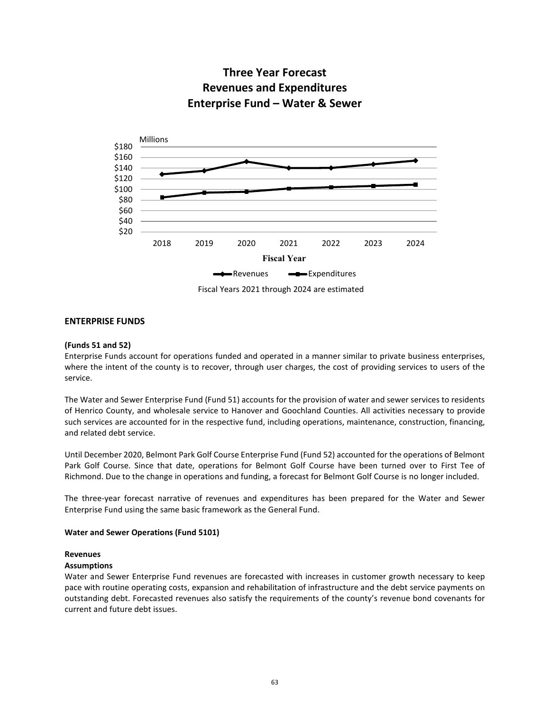

# **Three Year Forecast Revenues and Expenditures Enterprise Fund – Water & Sewer**

### **ENTERPRISE FUNDS**

### **(Funds 51 and 52)**

Enterprise Funds account for operations funded and operated in a manner similar to private business enterprises, where the intent of the county is to recover, through user charges, the cost of providing services to users of the service.

The Water and Sewer Enterprise Fund (Fund 51) accounts for the provision of water and sewer services to residents of Henrico County, and wholesale service to Hanover and Goochland Counties. All activities necessary to provide such services are accounted for in the respective fund, including operations, maintenance, construction, financing, and related debt service.

Until December 2020, Belmont Park Golf Course Enterprise Fund (Fund 52) accounted for the operations of Belmont Park Golf Course. Since that date, operations for Belmont Golf Course have been turned over to First Tee of Richmond. Due to the change in operations and funding, a forecast for Belmont Golf Course is no longer included.

The three-year forecast narrative of revenues and expenditures has been prepared for the Water and Sewer Enterprise Fund using the same basic framework as the General Fund.

### **Water and Sewer Operations (Fund 5101)**

#### **Revenues**

#### **Assumptions**

Water and Sewer Enterprise Fund revenues are forecasted with increases in customer growth necessary to keep pace with routine operating costs, expansion and rehabilitation of infrastructure and the debt service payments on outstanding debt. Forecasted revenues also satisfy the requirements of the county's revenue bond covenants for current and future debt issues.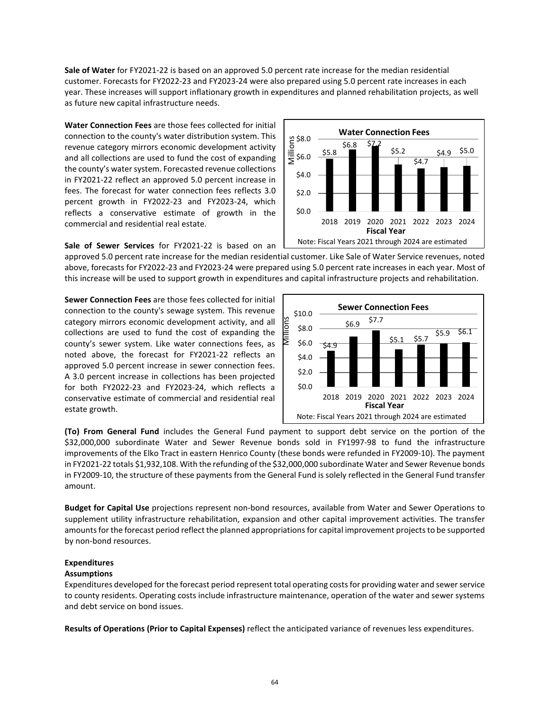**Sale of Water** for FY2021-22 is based on an approved 5.0 percent rate increase for the median residential customer. Forecasts for FY2022-23 and FY2023-24 were also prepared using 5.0 percent rate increases in each year. These increases will support inflationary growth in expenditures and planned rehabilitation projects, as well as future new capital infrastructure needs.

**Water Connection Fees** are those fees collected for initial connection to the county's water distribution system. This revenue category mirrors economic development activity and all collections are used to fund the cost of expanding the county's water system. Forecasted revenue collections in FY2021-22 reflect an approved 5.0 percent increase in fees. The forecast for water connection fees reflects 3.0 percent growth in FY2022-23 and FY2023-24, which reflects a conservative estimate of growth in the commercial and residential real estate.

**Sale of Sewer Services** for FY2021-22 is based on an

\$5.8  $$6.8$   $$2.2$ \$5.2  $$4.7$  $$4.9$  \$5.0 \$0.0 \$2.0 \$4.0  $\overline{5}$ \$6.0 g \$8.0<br><u>ii</u><br>I≡ \$6.0 2018 2019 2020 2021 2022 2023 2024 **Fiscal Year** Note: Fiscal Years 2021 through 2024 are estimated

**Water Connection Fees**

approved 5.0 percent rate increase for the median residential customer. Like Sale of Water Service revenues, noted above, forecasts for FY2022-23 and FY2023-24 were prepared using 5.0 percent rate increases in each year. Most of this increase will be used to support growth in expenditures and capital infrastructure projects and rehabilitation.

**Sewer Connection Fees** are those fees collected for initial connection to the county's sewage system. This revenue category mirrors economic development activity, and all collections are used to fund the cost of expanding the county's sewer system. Like water connections fees, as noted above, the forecast for FY2021-22 reflects an approved 5.0 percent increase in sewer connection fees. A 3.0 percent increase in collections has been projected for both FY2022-23 and FY2023-24, which reflects a conservative estimate of commercial and residential real estate growth.



**(To) From General Fund** includes the General Fund payment to support debt service on the portion of the \$32,000,000 subordinate Water and Sewer Revenue bonds sold in FY1997-98 to fund the infrastructure improvements of the Elko Tract in eastern Henrico County (these bonds were refunded in FY2009-10). The payment in FY2021-22 totals \$1,932,108. With the refunding of the \$32,000,000 subordinate Water and Sewer Revenue bonds in FY2009-10, the structure of these payments from the General Fund is solely reflected in the General Fund transfer amount.

**Budget for Capital Use** projections represent non-bond resources, available from Water and Sewer Operations to supplement utility infrastructure rehabilitation, expansion and other capital improvement activities. The transfer amounts for the forecast period reflect the planned appropriations for capital improvement projects to be supported by non-bond resources.

# **Expenditures**

## **Assumptions**

Expenditures developed for the forecast period represent total operating costs for providing water and sewer service to county residents. Operating costs include infrastructure maintenance, operation of the water and sewer systems and debt service on bond issues.

**Results of Operations (Prior to Capital Expenses)** reflect the anticipated variance of revenues less expenditures.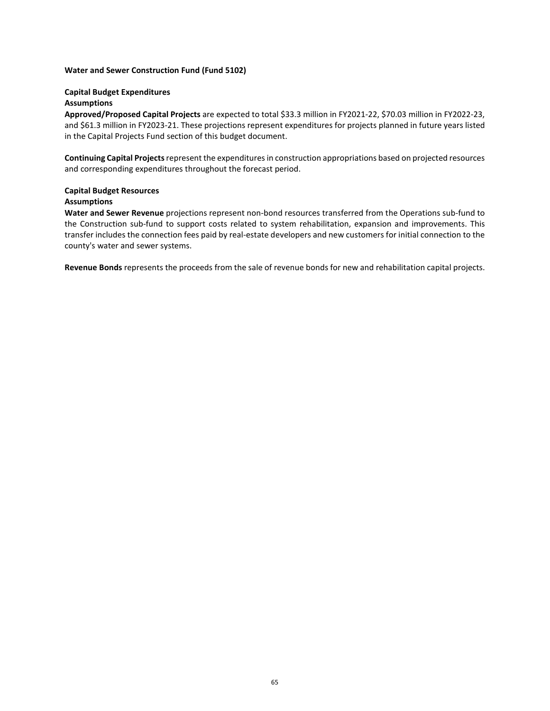### **Water and Sewer Construction Fund (Fund 5102)**

### **Capital Budget Expenditures**

### **Assumptions**

**Approved/Proposed Capital Projects** are expected to total \$33.3 million in FY2021-22, \$70.03 million in FY2022-23, and \$61.3 million in FY2023-21. These projections represent expenditures for projects planned in future years listed in the Capital Projects Fund section of this budget document.

**Continuing Capital Projects**represent the expenditures in construction appropriations based on projected resources and corresponding expenditures throughout the forecast period.

### **Capital Budget Resources Assumptions**

**Water and Sewer Revenue** projections represent non-bond resources transferred from the Operations sub-fund to the Construction sub-fund to support costs related to system rehabilitation, expansion and improvements. This transfer includes the connection fees paid by real-estate developers and new customers for initial connection to the county's water and sewer systems.

**Revenue Bonds** represents the proceeds from the sale of revenue bonds for new and rehabilitation capital projects.